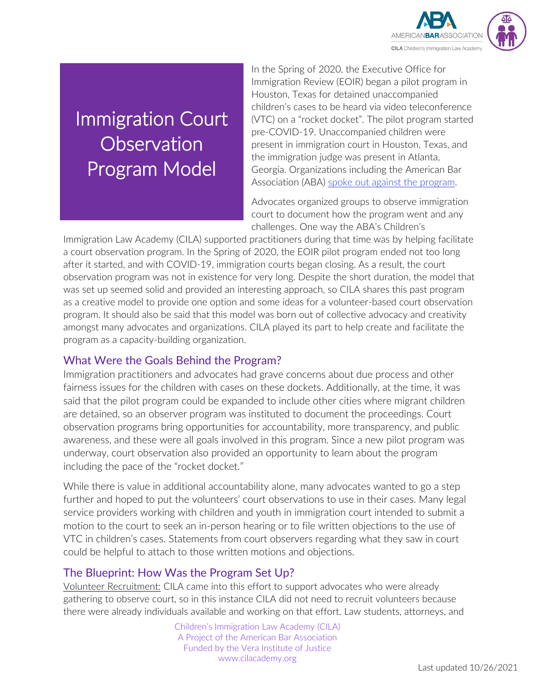

# Immigration Court **Observation** Program Model

In the Spring of 2020, the Executive Office for Immigration Review (EOIR) began a pilot program in Houston, Texas for detained unaccompanied children's cases to be heard via video teleconference (VTC) on a "rocket docket". The pilot program started pre-COVID-19. Unaccompanied children were present in immigration court in Houston, Texas, and the immigration judge was present in Atlanta, Georgia. Organizations including the American Bar Association (ABA) [spoke out against the program.](https://cilacademy.org/2020/03/05/aba-naij-young-center-and-lsps-speak-out-against-vtc-houston-pilot-program-for-uc/)

Advocates organized groups to observe immigration court to document how the program went and any challenges. One way the ABA's Children's

cnallenges. One way the ABA's Children's<br>Immigration Law Academy (CILA) supported practitioners during that time was by helping facilitate a court observation program. In the Spring of 2020, the EOIR pilot program ended not too long after it started, and with COVID-19, immigration courts began closing. As a result, the court observation program was not in existence for very long. Despite the short duration, the model that was set up seemed solid and provided an interesting approach, so CILA shares this past program as a creative model to provide one option and some ideas for a volunteer-based court observation program. It should also be said that this model was born out of collective advocacy and creativity amongst many advocates and organizations. CILA played its part to help create and facilitate the program as a capacity-building organization.

## What Were the Goals Behind the Program?

Immigration practitioners and advocates had grave concerns about due process and other fairness issues for the children with cases on these dockets. Additionally, at the time, it was said that the pilot program could be expanded to include other cities where migrant children are detained, so an observer program was instituted to document the proceedings. Court observation programs bring opportunities for accountability, more transparency, and public awareness, and these were all goals involved in this program. Since a new pilot program was underway, court observation also provided an opportunity to learn about the program including the pace of the "rocket docket."

While there is value in additional accountability alone, many advocates wanted to go a step further and hoped to put the volunteers' court observations to use in their cases. Many legal service providers working with children and youth in immigration court intended to submit a motion to the court to seek an in-person hearing or to file written objections to the use of VTC in children's cases. Statements from court observers regarding what they saw in court could be helpful to attach to those written motions and objections.

## The Blueprint: How Was the Program Set Up?

Volunteer Recruitment: CILA came into this effort to support advocates who were already gathering to observe court, so in this instance CILA did not need to recruit volunteers because there were already individuals available and working on that effort. Law students, attorneys, and

> Children's Immigration Law Academy (CILA) A Project of the American Bar Association Funded by the Vera Institute of Justice www.cilacademy.org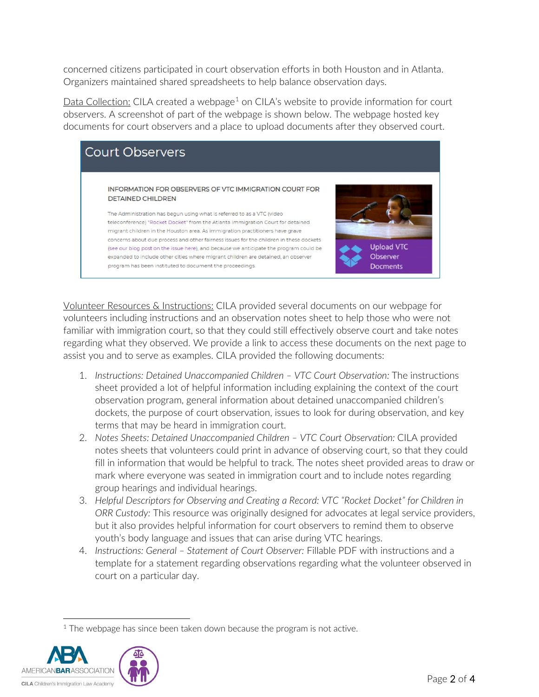concerned citizens participated in court observation efforts in both Houston and in Atlanta. Organizers maintained shared spreadsheets to help balance observation days.

Data Collection: CILA created a webpage<sup>[1](#page-1-0)</sup> on CILA's website to provide information for court observers. A screenshot of part of the webpage is shown below. The webpage hosted key documents for court observers and a place to upload documents after they observed court.



Volunteer Resources & Instructions: CILA provided several documents on our webpage for volunteers including instructions and an observation notes sheet to help those who were not familiar with immigration court, so that they could still effectively observe court and take notes regarding what they observed. We provide a link to access these documents on the next page to assist you and to serve as examples. CILA provided the following documents:

- 1. *Instructions: Detained Unaccompanied Children – VTC Court Observation:* The instructions sheet provided a lot of helpful information including explaining the context of the court observation program, general information about detained unaccompanied children's dockets, the purpose of court observation, issues to look for during observation, and key terms that may be heard in immigration court.
- 2. *Notes Sheets: Detained Unaccompanied Children – VTC Court Observation:* CILA provided notes sheets that volunteers could print in advance of observing court, so that they could fill in information that would be helpful to track. The notes sheet provided areas to draw or mark where everyone was seated in immigration court and to include notes regarding group hearings and individual hearings.
- 3. *Helpful Descriptors for Observing and Creating a Record: VTC "Rocket Docket" for Children in ORR Custody:* This resource was originally designed for advocates at legal service providers, but it also provides helpful information for court observers to remind them to observe youth's body language and issues that can arise during VTC hearings.
- 4. *Instructions: General – Statement of Court Observer:* Fillable PDF with instructions and a template for a statement regarding observations regarding what the volunteer observed in court on a particular day.

<span id="page-1-0"></span> $1$  The webpage has since been taken down because the program is not active.

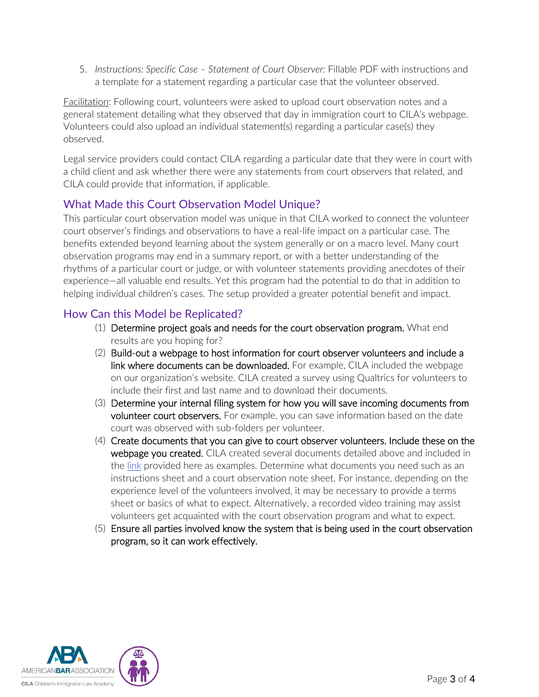5. *Instructions: Specific Case – Statement of Court Observer:* Fillable PDF with instructions and a template for a statement regarding a particular case that the volunteer observed.

Facilitation: Following court, volunteers were asked to upload court observation notes and a general statement detailing what they observed that day in immigration court to CILA's webpage. Volunteers could also upload an individual statement(s) regarding a particular case(s) they observed.

Legal service providers could contact CILA regarding a particular date that they were in court with a child client and ask whether there were any statements from court observers that related, and CILA could provide that information, if applicable.

## What Made this Court Observation Model Unique?

This particular court observation model was unique in that CILA worked to connect the volunteer court observer's findings and observations to have a real-life impact on a particular case. The benefits extended beyond learning about the system generally or on a macro level. Many court observation programs may end in a summary report, or with a better understanding of the rhythms of a particular court or judge, or with volunteer statements providing anecdotes of their experience—all valuable end results. Yet this program had the potential to do that in addition to helping individual children's cases. The setup provided a greater potential benefit and impact.

#### How Can this Model be Replicated?

- (1) Determine project goals and needs for the court observation program. What end results are you hoping for?
- (2) Build-out a webpage to host information for court observer volunteers and include a link where documents can be downloaded. For example, CILA included the webpage on our organization's website. CILA created a survey using Qualtrics for volunteers to include their first and last name and to download their documents.
- (3) Determine your internal filing system for how you will save incoming documents from volunteer court observers. For example, you can save information based on the date court was observed with sub-folders per volunteer.
- (4) Create documents that you can give to court observer volunteers. Include these on the webpage you created. CILA created several documents detailed above and included in the [link](https://www.dropbox.com/sh/mmipmypb0h8xcdu/AABC-avnKlFUx10P9KA7rtKTa?dl=0) provided here as examples. Determine what documents you need such as an instructions sheet and a court observation note sheet. For instance, depending on the experience level of the volunteers involved, it may be necessary to provide a terms sheet or basics of what to expect. Alternatively, a recorded video training may assist volunteers get acquainted with the court observation program and what to expect.
- (5) Ensure all parties involved know the system that is being used in the court observation program, so it can work effectively.